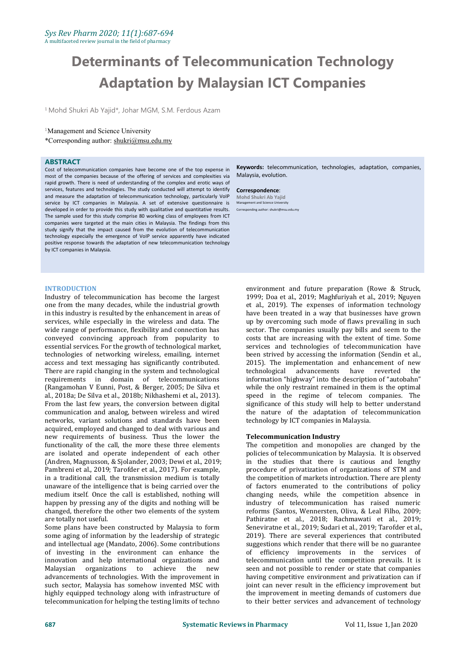# **Determinants of Telecommunication Technology Adaptation by Malaysian ICT Companies**

<sup>1</sup> Mohd Shukri Ab Yajid\*, Johar MGM, S.M. Ferdous Azam

#### <sup>1</sup>Management and Science University

\*Corresponding author: [shukri@msu.edu.my](mailto:shukri@msu.edu.my)

#### **ABSTRACT**

Cost of telecommunication companies have become one of the top expense in most of the companies because of the offering of services and complexities via rapid growth. There is need of understanding of the complex and erotic ways of services, features and technologies. The study conducted will attempt to identify and measure the adaptation of telecommunication technology, particularly VoIP service by ICT companies in Malaysia. A set of extensive questionnaire is developed in order to provide this study with qualitative and quantitative results. The sample used for this study comprise 80 working class of employees from ICT companies were targeted at the main cities in Malaysia. The findings from this study signify that the impact caused from the evolution of telecommunication technology especially the emergence of VoIP service apparently have indicated positive response towards the adaptation of new telecommunication technology by ICT companies in Malaysia.

#### **INTRODUCTION**

Industry of telecommunication has become the largest one from the many decades, while the industrial growth in this industry is resulted by the enhancement in areas of services, while especially in the wireless and data. The wide range of performance, flexibility and connection has conveyed convincing approach from popularity to essential services. For the growth of technological market, technologies of networking wireless, emailing, internet access and text messaging has significantly contributed. There are rapid changing in the system and technological requirements in domain of telecommunications (Rangamohan V Eunni, Post, & Berger, 2005; De Silva et al., 2018a; De Silva et al., 2018b; Nikhashemi et al., 2013). From the last few years, the conversion between digital communication and analog, between wireless and wired networks, variant solutions and standards have been acquired, employed and changed to deal with various and new requirements of business. Thus the lower the functionality of the call, the more these three elements are isolated and operate independent of each other (Andren, Magnusson, & Sjolander, 2003; Dewi et al., 2019; Pambreni et al., 2019; Tarofder et al., 2017). For example, in a traditional call, the transmission medium is totally unaware of the intelligence that is being carried over the medium itself. Once the call is established, nothing will happen by pressing any of the digits and nothing will be changed, therefore the other two elements of the system are totally not useful.

Some plans have been constructed by Malaysia to form some aging of information by the leadership of strategic and intellectual age (Mandato, 2006). Some contributions of investing in the environment can enhance the innovation and help international organizations and Malaysian organizations to achieve the new advancements of technologies. With the improvement in such sector, Malaysia has somehow invented MSC with highly equipped technology along with infrastructure of telecommunication for helping the testing limits of techno

**Keywords:** telecommunication, technologies, adaptation, companies, Malaysia, evolution.

**Correspondence**: **Mohd Shukri Ab Yajid** ment and Sci Corresponding author: shukri@msu.edu.my

> environment and future preparation (Rowe & Struck, 1999; Doa et al., 2019; Maghfuriyah et al., 2019; Nguyen et al., 2019). The expenses of information technology have been treated in a way that businesses have grown up by overcoming such mode of flaws prevailing in such sector. The companies usually pay bills and seem to the costs that are increasing with the extent of time. Some services and technologies of telecommunication have been strived by accessing the information (Sendin et al., 2015). The implementation and enhancement of new<br>technological advancements have reverted the technological advancements have reverted information "highway" into the description of "autobahn" while the only restraint remained in them is the optimal speed in the regime of telecom companies. The significance of this study will help to better understand the nature of the adaptation of telecommunication technology by ICT companies in Malaysia.

#### **Telecommunication Industry**

The competition and monopolies are changed by the policies of telecommunication by Malaysia. It is observed in the studies that there is cautious and lengthy procedure of privatization of organizations of STM and the competition of markets introduction. There are plenty of factors enumerated to the contributions of policy changing needs, while the competition absence in industry of telecommunication has raised numeric reforms (Santos, Wennersten, Oliva, & Leal Filho, 2009; Pathiratne et al., 2018; Rachmawati et al., 2019; Seneviratne et al., 2019; Sudari et al., 2019; Tarofder et al., 2019). There are several experiences that contributed suggestions which render that there will be no guarantee of efficiency improvements in the services of telecommunication until the competition prevails. It is seen and not possible to render or state that companies having competitive environment and privatization can if joint can never result in the efficiency improvement but the improvement in meeting demands of customers due to their better services and advancement of technology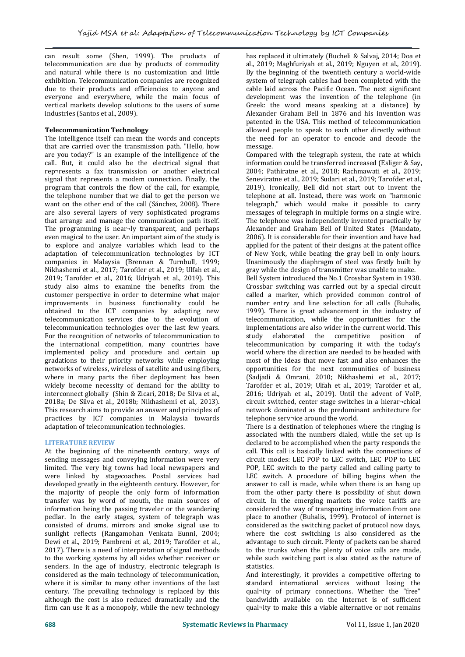can result some (Shen, 1999). The products of telecommunication are due by products of commodity and natural while there is no customization and little exhibition. Telecommunication companies are recognized due to their products and efficiencies to anyone and everyone and everywhere, while the main focus of vertical markets develop solutions to the users of some industries (Santos et al., 2009).

# **Telecommunication Technology**

The intelligence itself can mean the words and concepts that are carried over the transmission path. "Hello, how are you today?" is an example of the intelligence of the call. But, it could also be the electrical signal that rep¬resents a fax transmission or another electrical signal that represents a modem connection. Finally, the program that controls the flow of the call, for example, the telephone number that we dial to get the person we want on the other end of the call (Sánchez, 2008). There telegraph," which would make it possible to carry are also several layers of very sophisticated programs messages of telegraph in multiple forms on a single wire. are also several layers of very sophisticated programs that arrange and manage the communication path itself. The programming is near $\neg$ ly transparent, and perhaps even magical to the user. An important aim of the study is to explore and analyze variables which lead to the adaptation of telecommunication technologies by ICT companies in Malaysia (Brennan & Turnbull, 1999; Nikhashemi et al., 2017; Tarofder et al., 2019; Ulfah et al., 2019; Tarofder et al., 2016; Udriyah et al., 2019). This study also aims to examine the benefits from the customer perspective in order to determine what major alled a marker, which provided common control of improvements in business functionality could be a number entry and line selection for all calls (Buhalis, improvements in business functionality could be obtained to the ICT companies by adapting new telecommunication services due to the evolution of telecommunication technologies over the last few years. implem<br>For the recognition of networks of telecommunication to study For the recognition of networks of telecommunication to the international competition, many countries have implemented policy and procedure and certain up gradations to their priority networks while employing networks of wireless, wireless of satellite and using fibers, where in many parts the fiber deployment has been widely become necessity of demand for the ability to interconnect globally (Shin & Zicari, 2018; De Silva et al., 2018a; De Silva et al., 2018b; Nikhashemi et al., 2013). This research aims to provide an answer and principles of practices by ICT companies in Malaysia towards adaptation of telecommunication technologies.

# **LITERATURE REVIEW**

At the beginning of the nineteenth century, ways of sending messages and conveying information were very limited. The very big towns had local newspapers and were linked by stagecoaches. Postal services had developed greatly in the eighteenth century. However, for the majority of people the only form of information transfer was by word of mouth, the main sources of information being the passing traveler or the wandering<br>pedlar. In the early stages, system of telegraph was consisted of drums, mirrors and smoke signal use to sunlight reflects (Rangamohan Venkata Eunni, 2004; Dewi et al., 2019; Pambreni et al., 2019; Tarofder et al., 2017). There is a need of interpretation of signal methods to the working systems by all sides whether receiver or senders. In the age of industry, electronic telegraph is considered as the main technology of telecommunication, where it is similar to many other inventions of the last century. The prevailing technology is replaced by this although the cost is also reduced dramatically and the firm can use it as a monopoly, while the new technology

has replaced it ultimately (Bucheli & Salvaj, 2014; Doa et al., 2019; Maghfuriyah et al., 2019; Nguyen et al., 2019). By the beginning of the twentieth century a world-wide system of telegraph cables had been completed with the cable laid across the Pacific Ocean. The next significant development was the invention of the telephone (in Greek: the word means speaking at a distance) by Alexander Graham Bell in 1876 and his invention was patented in the USA. This method of telecommunication allowed people to speak to each other directly without the need for an operator to encode and decode the message.

Compared with the telegraph system, the rate at which information could be transferred increased (Esliger & Say, 2004; Pathiratne et al., 2018; Rachmawati et al., 2019; Seneviratne et al., 2019; Sudari et al., 2019; Tarofder et al., 2019). Ironically, Bell did not start out to invent the telephone at all. Instead, there was work on "harmonic telegraph," which would make it possible to carry The telephone was independently invented practically by. Alexander and Graham Bell of United States (Mandato, 2006). It is considerable for their invention and have had applied for the patent of their designs at the patent office of New York, while beating the gray bell in only hours. Unanimously the diaphragm of steel was firstly built by gray while the design of transmitter was unable to make.

Bell System introduced the No.1 Crossbar System in 1938. Crossbar switching was carried out by a special circuit called a marker, which provided common control of 1999). There is great advancement in the industry of telecommunication, while the opportunities for the implementations are also wider in the current world. This<br>study elaborated the competitive position of elaborated the competitive position telecommunication by comparing it with the today's world where the direction are needed to be headed with most of the ideas that move fast and also enhances the opportunities for the next communities of business (Sadjadi & Omrani, 2010; Nikhashemi et al., 2017; Tarofder et al., 2019; Ulfah et al., 2019; Tarofder et al., 2016; Udriyah et al., 2019). Until the advent of VoIP, circuit switched, center stage switches in a hierar¬chical network dominated as the predominant architecture for telephone serv¬ice around the world.

There is a destination of telephones where the ringing is associated with the numbers dialed, while the set up is declared to be accomplished when the party responds the call. This call is basically linked with the connections of circuit modes: LEC POP to LEC switch, LEC POP to LEC POP, LEC switch to the party called and calling party to LEC switch. A procedure of billing begins when the answer to call is made, while when there is an hang up from the other party there is possibility of shut down circuit. In the emerging markets the voice tariffs are considered the way of transporting information from one place to another (Buhalis, 1999). Protocol of internet is considered as the switching packet of protocol now days, where the cost switching is also considered as the advantage to such circuit. Plenty of packets can be shared to the trunks when the plenty of voice calls are made, while such switching part is also stated as the nature of statistics.

And interestingly, it provides a competitive offering to standard international services without losing the qual¬ity of primary connections. Whether the "free" bandwidth available on the Internet is of sufficient qual¬ity to make this a viable alternative or not remains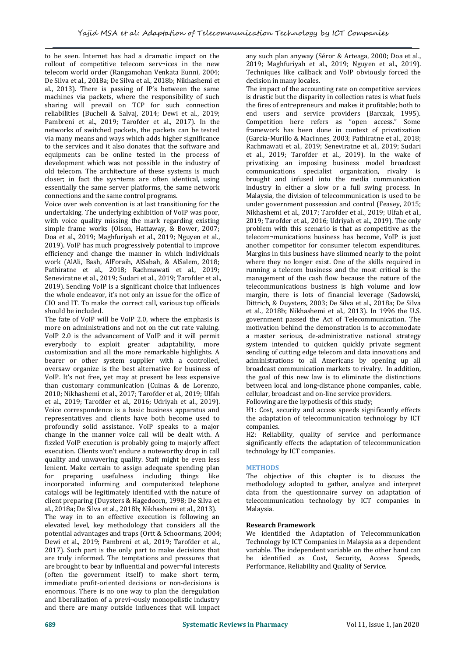to be seen. Internet has had a dramatic impact on the rollout of competitive telecom serv¬ices in the new telecom world order (Rangamohan Venkata Eunni, 2004; De Silva et al., 2018a; De Silva et al., 2018b; Nikhashemi et al., 2013). There is passing of IP's between the same machines via packets, where the responsibility of such sharing will prevail on TCP for such connection reliabilities (Bucheli & Salvaj, 2014; Dewi et al., 2019; Pambreni et al., 2019; Tarofder et al., 2017). In the networks of switched packets, the packets can be tested via many means and ways which adds higher significance to the services and it also donates that the software and equipments can be online tested in the process of development which was not possible in the industry of old telecom. The architecture of these systems is much closer; in fact the sys¬tems are often identical, using essentially the same server platforms, the same network connections and the same control programs.

Voice over web convention is at last transitioning for the undertaking. The underlying exhibition of VoIP was poor, with voice quality missing the mark regarding existing simple frame works (Olson, Hattaway, & Bower, 2007; Doa et al., 2019; Maghfuriyah et al., 2019; Nguyen et al., 2019). VoIP has much progressively potential to improve efficiency and change the manner in which individuals work (AlAli, Bash, AlForaih, AlSabah, & AlSalem, 2018; Pathiratne et al., 2018; Rachmawati et al., 2019; Seneviratne et al., 2019; Sudari et al., 2019; Tarofder et al., 2019). Sending VoIP is a significant choice that influences the whole endeavor, it's notonly an issue for the office of CIO and IT. To make the correct call, various top officials should be included.

The fate of VoIP will be VoIP 2.0, where the emphasis is more on administrations and not on the cut rate valuing. VoIP 2.0 is the advancement of VoIP and it will permit everybody to exploit greater adaptability, more customization and all the more remarkable highlights. A oversaw organize is the best alternative for business of VoIP. It's not free, yet may at present be less expensive than customary communication (Cuinas & de Lorenzo, 2010; Nikhashemi et al., 2017; Tarofder et al., 2019; Ulfah et al., 2019; Tarofder et al., 2016; Udriyah et al., 2019). Voice correspondence is a basic business apparatus and representatives and clients have both become used to profoundly solid assistance. VoIP speaks to a major change in the manner voice call will be dealt with. A fizzled VoIP execution is probably going to majorly affect execution. Clients won't endure a noteworthy drop in call quality and unwavering quality. Staff might be even less lenient. Make certain to assign adequate spending plan for preparing usefulness including things incorporated informing and computerized telephone catalogs will be legitimately identified with the nature of client preparing (Duysters & Hagedoorn, 1998; De Silva et al., 2018a; De Silva et al., 2018b; Nikhashemi et al., 2013). The way in to an effective execution is following an elevated level, key methodology that considers all the potential advantages and traps (Ortt & Schoormans, 2004; Dewi et al., 2019; Pambreni et al., 2019; Tarofder et al., 2017). Such part is the only part to make decisions that are truly informed. The temptations and pressures that are brought to bear by influential and power¬ful interests (often the government itself) to make short term, immediate profit-oriented decisions or non-decisions is enormous. There is no one way to plan the deregulation

and liberalization of a previ¬ously monopolistic industry and there are many outside influences that will impact any such plan anyway (Séror & Arteaga, 2000; Doa et al., 2019; Maghfuriyah et al., 2019; Nguyen et al., 2019). Techniques like callback and VoIP obviously forced the decision in many locales.

The impact of the accounting rate on competitive services is drastic but the disparity in collection rates is what fuels the fires of entrepreneurs and makes it profitable; both to end users and service providers (Barczak, 1995). Competition here refers as "open access." Some framework has been done in context of privatization (Garcia-Murillo & MacInnes, 2003; Pathiratne et al., 2018; Rachmawati et al., 2019; Seneviratne et al., 2019; Sudari et al., 2019; Tarofder et al., 2019). In the wake of privatizing an imposing business model broadcast communications specialist organization, rivalry is brought and infused into the media communication industry in either a slow or a full swing process. In Malaysia, the division of telecommunication is used to be under government possession and control (Feasey, 2015; Nikhashemi et al., 2017; Tarofder et al., 2019; Ulfah et al., 2019; Tarofder et al., 2016; Udriyah et al., 2019). The only problem with this scenario is that as competitive as the telecom¬munications business has become, VoIP is just another competitor for consumer telecom expenditures. Margins in this business have slimmed nearly to the point where they no longer exist. One of the skills required in running a telecom business and the most critical is the management of the cash flow because the nature of the telecommunications business is high volume and low margin, there is lots of financial leverage (Sadowski, Dittrich, & Duysters, 2003; De Silva et al., 2018a; De Silva et al., 2018b; Nikhashemi et al., 2013). In 1996 the U.S. government passed the Act of Telecommunication. The motivation behind the demonstration is to accommodate a master serious, de-administrative national strategy system intended to quicken quickly private segment sending of cutting edge telecom and data innovations and administrations to all Americans by opening up all broadcast communication markets to rivalry. In addition, the goal of this new law is to eliminate the distinctions between local and long-distance phone companies, cable, cellular, broadcast and on-line service providers.

Following are the hypothesis of this study;

H1: Cost, security and access speeds significantly effects the adaptation of telecommunication technology by ICT companies.

H2: Reliability, quality of service and performance significantly effects the adaptation of telecommunication technology by ICT companies.

# **METHODS**

The objective of this chapter is to discuss the methodology adopted to gather, analyze and interpret data from the questionnaire survey on adaptation of telecommunication technology by ICT companies in Malaysia.

# **Research Framework**

We identified the Adaptation of Telecommunication Technology by ICT Companies in Malaysia as a dependent variable. The independent variable on the other hand can be identified as Cost, Security, Access Speeds, Performance, Reliability and Quality of Service.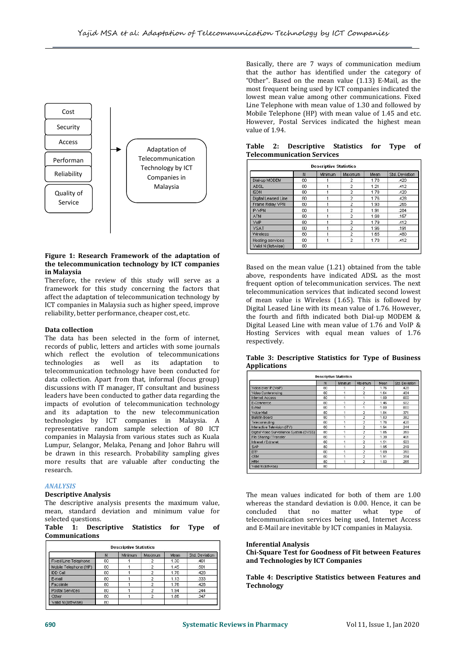

### **Figure 1: Research Framework of the adaptation of the telecommunication technology by ICT companies in Malaysia**

Therefore, the review of this study will serve as a framework for this study concerning the factors that affect the adaptation of telecommunication technology by ICT companies in Malaysia such as higher speed, improve reliability, better performance, cheaper cost, etc.

#### **Data collection**

The data has been selected in the form of internet, records of public, letters and articles with some journals which reflect the evolution of telecommunications technologies as well as its adaptation to telecommunication technology have been conducted for data collection. Apart from that, informal (focus group) discussions with IT manager, IT consultant and business leaders have been conducted to gather data regarding the impacts of evolution of telecommunication technology and its adaptation to the new telecommunication technologies by ICT companies in Malaysia. A representative random sample selection of 80 ICT companies in Malaysia from various states such as Kuala Lumpur, Selangor, Melaka, Penang and Johor Bahru will be drawn in this research. Probability sampling gives more results that are valuable after conducting the research.

#### *ANALYSIS*

#### **Descriptive Analysis**

The descriptive analysis presents the maximum value, whereas the standard de mean, standard deviation and minimum value for concluded that no mean, standard deviation and minimum value for

| selected questions.   |                                     |  |         | telecomm |
|-----------------------|-------------------------------------|--|---------|----------|
|                       | Table 1: Descriptive Statistics for |  | Tvpe of | and E-Ma |
| <b>Communications</b> |                                     |  |         |          |

| <b>Descriptive Statistics</b> |    |         |                |      |                |  |  |  |
|-------------------------------|----|---------|----------------|------|----------------|--|--|--|
|                               | N  | Minimum | Maximum        | Mean | Std. Deviation |  |  |  |
| Fixed Line Telephone          | 80 |         | 2              | 1.30 | .461           |  |  |  |
| Mobile Telephone (HP)         | 80 |         | $\mathfrak{D}$ | 1.45 | .501           |  |  |  |
| IDD Call                      | 80 |         | $\mathcal{P}$  | 1.76 | .428           |  |  |  |
| E-mail                        | 80 |         | $\mathfrak{D}$ | 1.13 | .333           |  |  |  |
| Facsimile                     | 80 |         | 2              | 1.76 | .428           |  |  |  |
| Postal Services               | 80 |         | 2              | 1.94 | .244           |  |  |  |
| Other                         | 80 |         | $\overline{2}$ | 1.86 | .347           |  |  |  |
| Valid N (listwise)            | 80 |         |                |      |                |  |  |  |

Basically, there are 7 ways of communication medium that the author has identified under the category of "Other". Based on the mean value  $(1.13)$  E-Mail, as the most frequent being used by ICT companies indicated the lowest mean value among other communications. Fixed Line Telephone with mean value of 1.30 and followed by Mobile Telephone (HP) with mean value of 1.45 and etc. However, Postal Services indicated the highest mean value of 1.94.

|                     | N  | Minimum | Maximum        | Mean | Std. Deviation |
|---------------------|----|---------|----------------|------|----------------|
| Dial-up MODEM       | 80 |         | $\overline{2}$ | 1.78 | .420           |
| <b>ADSL</b>         | 80 |         | $\overline{2}$ | 1.21 | .412           |
| <b>ISDN</b>         | 80 |         | $\overline{2}$ | 1.78 | .420           |
| Digital Leased Line | 80 |         | $\overline{2}$ | 1.76 | .428           |
| Frame Relay VPN     | 80 |         | $\overline{2}$ | 1.93 | .265           |
| IP-VPN              | 80 |         | $\overline{2}$ | 1.91 | .284           |
| <b>ATM</b>          | 80 | 1       | $\overline{a}$ | 1.98 | .157           |
| VolP                | 80 | 4       | $\overline{2}$ | 1.79 | .412           |
| <b>VSAT</b>         | 80 |         | $\overline{2}$ | 1.96 | .191           |
| Wireless            | 80 | 1       | $\overline{2}$ | 1.65 | .480           |
| Hosting services    | 80 | 1       | $\overline{2}$ | 1.79 | .412           |
| Valid N (listwise)  | 80 |         |                |      |                |

# **Table 2: Descriptive Statistics for Type of Telecommunication Services**

Based on the mean value (1.21) obtained from the table above, respondents have indicated ADSL as the most frequent option of telecommunication services. The next telecommunication services that indicated second lowest of mean value is Wireless (1.65). This is followed by Digital Leased Line with its mean value of 1.76. However, the fourth and fifth indicated both Dial-up MODEM & Digital Leased Line with mean value of 1.76 and VoIP & Hosting Services with equal mean values of 1.76 respectively.

|                     |  | Table 3: Descriptive Statistics for Type of Business |  |  |  |
|---------------------|--|------------------------------------------------------|--|--|--|
| <b>Applications</b> |  |                                                      |  |  |  |

|                                          | N   | Minimum | Maximum        | Mean | Std. Deviation |
|------------------------------------------|-----|---------|----------------|------|----------------|
| Voice over IP (VoIP)                     | 80  | 1       | $\mathcal{P}$  | 1.76 | .428           |
| Video Conferencing                       | 80  | 1       | $\overline{2}$ | 1.64 | 484            |
| <b>Internet Access</b>                   | 80  | 1       | 1              | 1.00 | .000           |
| E-Commerce                               | 80  | 1       | $\overline{2}$ | 1.46 | 502            |
| E-Mail                                   | 80  | ł       | 1              | 1.00 | .000           |
| Voice Mail                               | 80  | 4       | <sup>2</sup>   | 1.84 | 371            |
| <b>Bulletin Board</b>                    | 80  | 1       | $\overline{2}$ | 1.83 | 382            |
| Telecommuting                            | 80  |         | $\overline{2}$ | 1.76 | .428           |
| Interactive Television (iTV)             | 80  | 1       | $\overline{2}$ | 1.94 | 244            |
| Digital Video Surveillance System (DVSS) | 80  | ł       | $\overline{2}$ | 1.85 | 359            |
| File Sharing / Transfer                  | 80. | 1       | 2              | 1.30 | 461            |
| Intranet / Extranet                      | 80  | 1       | $\overline{2}$ | 1.51 | 503            |
| <b>SAP</b>                               | 80  | 1       | $\overline{2}$ | 1.95 | 219            |
| ERP                                      | 80  | 1       | $\overline{2}$ | 1.89 | .318           |
| CRM                                      | 80  | 1       | $\overline{2}$ | 1.91 | .284           |
| <b>HRM</b>                               | 80  | 1       | <sup>2</sup>   | 1.93 | .265           |
| Valid N (listwise)                       | 80  |         |                |      |                |

The mean values indicated for both of them are 1.00 whereas the standard deviation is 0.00. Hence, it can be concluded that no matter what type of concluded that no matter what type of telecommunication services being used, Internet Access and E-Mail are inevitable by ICT companies in Malaysia.

#### **Inferential Analysis**

**Chi-Square Test for Goodness of Fit between Features and Technologies by ICT Companies**

**Table 4: Descriptive Statistics between Features and Technology**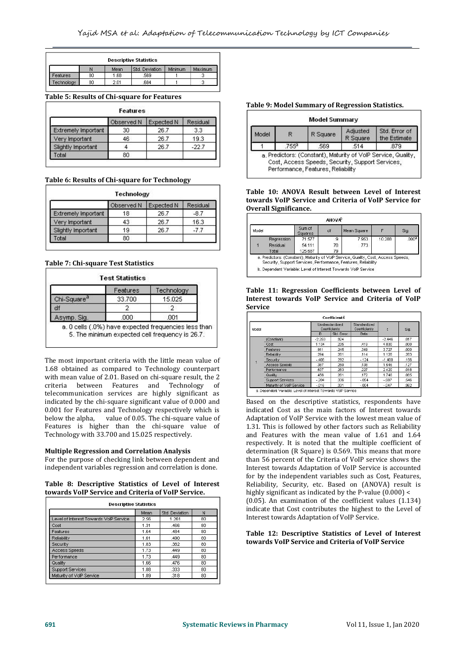| <b>Descriptive Statistics</b> |    |      |                |         |         |  |  |
|-------------------------------|----|------|----------------|---------|---------|--|--|
|                               |    | Mean | Std. Deviation | Minimum | Maximum |  |  |
| <b>Features</b>               | 80 | 1.68 | .569           |         |         |  |  |
| echnology                     | 80 | 2.01 | .684           |         |         |  |  |

# **Table 5: Results of Chi-square for Features**

| <b>Features</b>     |            |                   |          |  |  |  |  |  |
|---------------------|------------|-------------------|----------|--|--|--|--|--|
|                     | Observed N | <b>Expected N</b> | Residual |  |  |  |  |  |
| Extremely Important | 30         | 26.7              | 3.3      |  |  |  |  |  |
| Very Important      | 46         | 26.7              | 19.3     |  |  |  |  |  |
| Slightly Important  |            | 26.7              | $-22.7$  |  |  |  |  |  |
| Total               | 80         |                   |          |  |  |  |  |  |

**Table 6: Results of Chi-square for Technology**

| Technology          |            |                   |          |  |  |  |  |
|---------------------|------------|-------------------|----------|--|--|--|--|
|                     | Observed N | <b>Expected N</b> | Residual |  |  |  |  |
| Extremely Important | 18         | 26.7              | $-8.7$   |  |  |  |  |
| Very Important      | 43         | 26.7              | 16.3     |  |  |  |  |
| Slightly Important  | 19         | 26.7              | $-77$    |  |  |  |  |
| Total               | 80         |                   |          |  |  |  |  |

# **Table 7: Chi-square Test Statistics**

|                         | Features | Technology |
|-------------------------|----------|------------|
| Chi-Square <sup>a</sup> | 33,700   | 15.025     |
| df                      |          |            |
| Asymp. Siq.             | .000     | .001       |

The most important criteria with the little mean value of 1.68 obtained as compared to Technology counterpart with mean value of 2.01. Based on chi-square result, the 2 criteria between Features and Technology of criteria between Features and telecommunication services are highly significant as indicated by the chi-square significant value of 0.000 and 0.001 for Features and Technology respectively which is below the alpha, value of 0.05. The chi-square value of Features is higher than the chi-square value of Technology with 33.700 and 15.025 respectively.

# **Multiple Regression and Correlation Analysis**

For the purpose of checking link between dependent and independent variables regression and correlation is done.

### **Table 8: Descriptive Statistics of Level of Interest towards VoIP Service and Criteria of VoIP Service.**

|                                        | Mean | Std. Deviation | N  |
|----------------------------------------|------|----------------|----|
| Level of Interest Towards VolP Service | 2.56 | 1.261          | 80 |
| Cost                                   | 1.31 | .466           | 80 |
| Features                               | 1.64 | .484           | 80 |
| Reliability                            | 1.61 | .490           | 80 |
| Security                               | 1.83 | .382           | 80 |
| Access Speeds                          | 1.73 | .449           | 80 |
| Performance                            | 1.73 | .449           | 80 |
| Quality                                | 1.66 | .476           | 80 |
| <b>Support Services</b>                | 1.88 | .333           | 80 |
| Maturity of VolP Service               | 1.89 | .318           | 80 |

# **Table 9: ModelSummary of Regression Statistics.**

#### **Model Summary** Adjusted Std. Error of Model  $\overline{R}$ R Square R Square the Estimate .755ª 569 .514 .879  $\overline{1}$ a, Predictors: (Constant), Maturity of VolP Service, Quality, Cost, Access Speeds, Security, Support Services, Performance, Features, Reliability

# **Table 10: ANOVA Result between Level of Interest towards VoIP Service and Criteria ofVoIP Service for Overall Significance.**

| Model |            | Sum of<br><b>Squares</b> | df | Mean Square |        | Sig.              |
|-------|------------|--------------------------|----|-------------|--------|-------------------|
|       | Regression | 71.577                   | я  | 7.953       | 10.288 | .000 <sup>a</sup> |
|       | Residual   | 54.111                   | 70 | .773        |        |                   |
|       | Total      | 125.687                  | 79 |             |        |                   |

b. Dependent Variable: Level of Interest Towards VolP Service

#### **Table 11: Regression Coefficients between Level of Interest towards VoIP Service and Criteria of VoIP Service**

| Model |                          | Unstandardized<br>Coefficients |            | Standardized<br>Coefficients | đ        | Sig. |
|-------|--------------------------|--------------------------------|------------|------------------------------|----------|------|
|       |                          | $\mathbf{B}$                   | Std. Error | Beta                         |          |      |
|       | (Constant)               | $-2.259$                       | .924       |                              | $-2.446$ | .017 |
|       | Cost                     | 1.134                          | .235       | .419                         | 4830     | .000 |
|       | Features                 | .911                           | .245       | .349                         | 3.727    | .000 |
|       | Reliability              | 294                            | 261        | .114                         | 1.128    | .263 |
|       | Security                 | $-408$                         | .292       | $-124$                       | $-1.400$ | .166 |
|       | Access Speeds            | .387                           | .250       | .138                         | 1.546    | .127 |
|       | Performance              | 637                            | 263        | 227                          | 2.420    | .018 |
|       | Quality                  | .456                           | .261       | .172                         | 1.746    | .085 |
|       | <b>Support Services</b>  | $-204$                         | .336       | $-054$                       | $-607$   | .546 |
|       | Maturity of VolP Service | $-016$                         | .331       | $-0.004$                     | $-0.047$ | .962 |

Based on the descriptive statistics, respondents have indicated Cost as the main factors of Interest towards Adaptation of VoIP Service with the lowest mean value of 1.31. This is followed by other factors such as Reliability and Features with the mean value of 1.61 and 1.64 respectively. It is noted that the multiple coefficient of determination (R Square) is 0.569. This means that more than 56 percent of the Criteria of VoIP service shows the Interest towards Adaptation of VoIP Service is accounted for by the independent variables such as Cost, Features, Reliability, Security, etc. Based on (ANOVA) result is highly significant as indicated by the P-value (0.000) < (0.05). An examination of the coefficient values (1.134) indicate that Cost contributes the highest to the Level of

# **Table 12: Descriptive Statistics of Level of Interest towards VoIP Service and Criteria of VoIP Service**

Interest towards Adaptation of VoIP Service.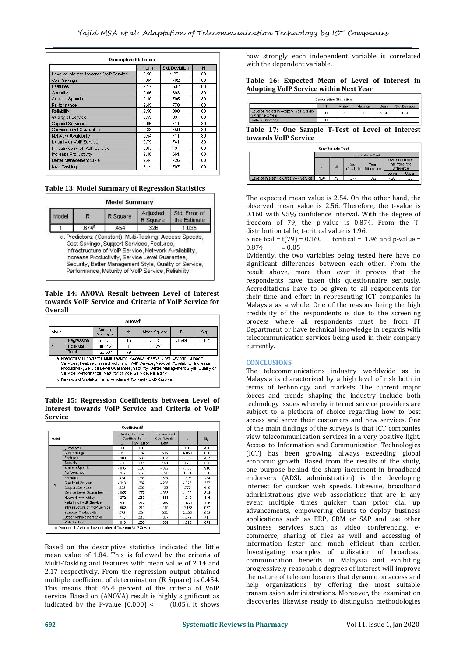| <b>Descriptive Statistics</b>          |      |                |    |  |  |  |
|----------------------------------------|------|----------------|----|--|--|--|
|                                        | Mean | Std. Deviation | N  |  |  |  |
| Level of Interest Towards VolP Service | 2.56 | 1.261          | 80 |  |  |  |
| Cost Savings                           | 1.84 | .702           | 80 |  |  |  |
| Features                               | 2.17 | .632           | 80 |  |  |  |
| Security                               | 2.66 | .693           | 80 |  |  |  |
| Access Speeds                          | 2.49 | .795           | 80 |  |  |  |
| Performance                            | 2.45 | .778           | 80 |  |  |  |
| Reliability                            | 2.58 | 808            | 80 |  |  |  |
| Quality of Service                     | 2.59 | .837           | 80 |  |  |  |
| <b>Support Services</b>                | 2.66 | .711           | 80 |  |  |  |
| Service Level Guarantee                | 2.83 | .759           | 80 |  |  |  |
| Network Availability                   | 2.54 | .711           | 80 |  |  |  |
| Maturity of VolP Service               | 2.79 | .741           | 80 |  |  |  |
| Infrastructure of VoIP Service         | 2.85 | .797           | 80 |  |  |  |
| <b>Increase Productivity</b>           | 2.36 | .661           | 80 |  |  |  |
| Better Management Style                | 2.44 | .726           | 80 |  |  |  |
| Multi-Tasking                          | 2.14 | .707           | 80 |  |  |  |

**Table 13: Model Summary of Regression Statistics**

| Model<br>R | R Square | Adjusted<br>R Square                      | Std. Error of<br>the Estimate |       |
|------------|----------|-------------------------------------------|-------------------------------|-------|
|            | 674ª     | .454                                      | 326                           | 1.035 |
|            |          | Cost Savings, Support Services, Features, |                               |       |

**Table 14: ANOVA Result between Level of Interest towards** VoIP Service and Criteria of VoIP Service for **Overall**

| Mean Square<br>F | Sig.                                                                           |
|------------------|--------------------------------------------------------------------------------|
| 3.549            | .000 <sup>a</sup>                                                              |
|                  |                                                                                |
|                  |                                                                                |
|                  | a. Predictors: (Constant), Multi-Tasking, Access Speeds, Cost Savings, Support |

**Table 15: Regression Coefficients between Level of Interest towards VoIP Service and Criteria of VoIP Service**

| Model                                                                                                                                                                                    |                                | <b>Unstandardized</b><br>Coefficients |            | Standardized<br>Coefficients |          | Sig. |  |
|------------------------------------------------------------------------------------------------------------------------------------------------------------------------------------------|--------------------------------|---------------------------------------|------------|------------------------------|----------|------|--|
|                                                                                                                                                                                          |                                |                                       | Std. Error | Beta                         |          |      |  |
|                                                                                                                                                                                          | (Constant)                     | 508                                   | .606       |                              | 837      | .406 |  |
| Cost Savings<br>Features<br>Security<br>Access Speeds<br>Performance<br>Reliability<br>Quality of Service<br><b>Support Services</b><br>Network Availability<br>Maturity of VolP Service |                                | 962                                   | .237       | 535                          | 4.059    | .000 |  |
|                                                                                                                                                                                          |                                | $-208$                                | 267        | $-104$                       | $-781$   | .437 |  |
|                                                                                                                                                                                          |                                | .273                                  | 311        | .150                         | .879     | 383  |  |
|                                                                                                                                                                                          |                                | $-035$                                | .336       | $-022$                       | $-103$   | .918 |  |
|                                                                                                                                                                                          |                                | $-447$                                | .361       | $-276$                       | $-1.238$ | 220  |  |
|                                                                                                                                                                                          |                                | .434                                  | .385       | .278                         | 1.127    | 264  |  |
|                                                                                                                                                                                          |                                | $-313$                                | 337        | $-208$                       | $-927$   | 357  |  |
|                                                                                                                                                                                          |                                | .239                                  | .308       | .135                         | .777     | .440 |  |
|                                                                                                                                                                                          | Service Level Guarantee        | $-055$                                | .277       | $-033$                       | $-197$   | .844 |  |
|                                                                                                                                                                                          |                                | $-272$                                | .287       | $-153$                       | $-949$   | .346 |  |
|                                                                                                                                                                                          |                                | 609                                   | 372        | .358                         | 1.639    | .106 |  |
|                                                                                                                                                                                          | Infrastructure of VolP Service | $-662$                                | 311        | $-419$                       | $-2.133$ | .037 |  |
|                                                                                                                                                                                          | <b>Increase Productivity</b>   | .672                                  | .301       | 352                          | 2.235    | .029 |  |
|                                                                                                                                                                                          | Better Management Style        | $-117$                                | .313       | $-067$                       | $-372$   | .711 |  |
|                                                                                                                                                                                          | Multi-Tasking                  | $-010$                                | .299       | $-005$                       | $-032$   | .974 |  |

Based on the descriptive statistics indicated the little mean value of 1.84. This is followed by the criteria of Multi-Tasking and Features with mean value of 2.14 and 2.17 respectively. From the regression output obtained multiple coefficient of determination (R Square) is 0.454. This means that 45.4 percent of the criteria of VoIP service. Based on (ANOVA) result is highly significant as indicated by the P-value  $(0.000) <$  (0.05). It shows indicated by the P-value  $(0.000)$  <

how strongly each independent variable is correlated with the dependent variable.

|  | Table 16: Expected Mean of Level of Interest in |  |  |  |
|--|-------------------------------------------------|--|--|--|
|  | Adopting VoIP Service within Next Year          |  |  |  |

| <b>Descriptive Statistics</b>                                  |    |         |         |      |                |  |
|----------------------------------------------------------------|----|---------|---------|------|----------------|--|
|                                                                | N  | Minimum | Maximum | Mean | Std. Deviation |  |
| Level of Interest in Adopting VolP Service<br>Within Next Year | 80 |         |         | 2.54 | 1.043          |  |
| Valid N (listwise)                                             | 80 |         |         |      |                |  |

**Table 17: One Sample T-Test of Level of Interest towards VoIP Service**

|                                        | Test Value = $2.54$ |    |                    |                           |                                                 |       |  |
|----------------------------------------|---------------------|----|--------------------|---------------------------|-------------------------------------------------|-------|--|
|                                        |                     | df | Sia.<br>(2-tailed) | Mean<br><b>Difference</b> | 95% Confidence<br>Interval of the<br>Difference |       |  |
|                                        |                     |    |                    |                           | Lower                                           | Upper |  |
| Level of Interest Towards VolP Service | 160                 | 79 | .874               | .022                      | $-26$                                           | .30   |  |

The expected mean value is 2.54. On the other hand, the observed mean value is 2.56. Therefore, the t-value is 0.160 with 95% confidence interval. With the degree of freedom of 79, the p-value is 0.874. From the T distribution table, t-critical value is 1.96.

Since tcal =  $t(79) = 0.160$  tcritical = 1.96 and p-value = 0.874 = 0.05  $0.874 = 0.05$ 

Evidently, the two variables being tested here have no significant differences between each other. From the result above, more than ever it proves that the respondents have taken this questionnaire seriously. Accreditations have to be given to all respondents for their time and effort in representing ICT companies in Malaysia as a whole. One of the reasons being the high credibility of the respondents is due to the screening process where all respondents must be from IT Department or have technical knowledge in regards with telecommunication services being used in their company currently.

# **CONCLUSIONS**

The telecommunications industry worldwide as in Malaysia is characterized by a high level of risk both in terms of technology and markets. The current major forces and trends shaping the industry include both technology issues whereby internet service providers are subject to a plethora of choice regarding how to best access and serve their customers and new services. One of the main findings of the surveys is that ICT companies view telecommunication services in a very positive light. Access to Information and Communication Technologies (ICT) has been growing, always exceeding global economic growth. Based from the results of the study, one purpose behind the sharp increment in broadband endorsers (ADSL administration) is the developing interest for quicker web speeds. Likewise, broadband administrations give web associations that are in any event multiple times quicker than prior dial up advancements, empowering clients to deploy business applications such as ERP, CRM or SAP and use other business services such as video conferencing, e commerce, sharing of files as well and accessing of information faster and much efficient than earlier. Investigating examples of utilization of broadcast communication benefits in Malaysia and exhibiting progressively reasonable degrees of interest will improve the nature of telecom bearers that dynamic on access and help organizations by offering the most suitable transmission administrations. Moreover, the examination discoveries likewise ready to distinguish methodologies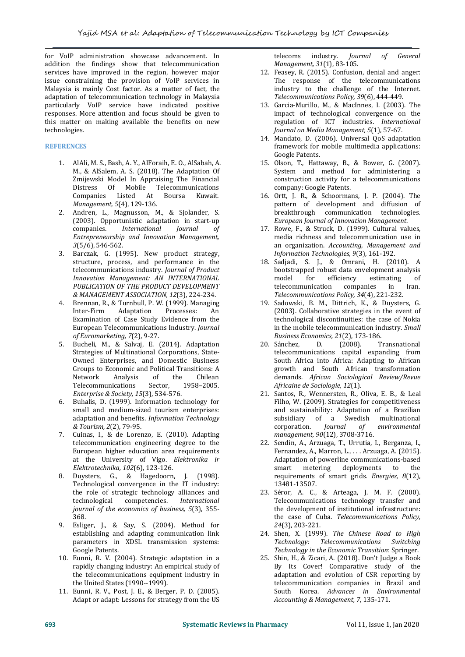for VoIP administration showcase advancement. In addition the findings show that telecommunication services have improved in the region, however major issue constraining the provision of VoIP services in The response of the telecommunications<br>Malaysia is mainly Cost factor. As a matter of fact, the strained industry to the challenge of the Internet. Malaysia is mainly Cost factor. As a matter of fact, the adaptation of telecommunication technology in Malaysia particularly VoIP service have indicated positive responses. More attention and focus should be given to this matter on making available the benefits on new technologies.

# **REFERENCES**

- 1. AlAli, M. S., Bash, A. Y., AlForaih, E. O., AlSabah, A. M., & AlSalem, A. S. (2018). The Adaptation Of Zmijewski Model In Appraising The Financial Distress Of Mobile Telecommunications<br>Companies Listed At Boursa Kuwait. Companies Listed At Boursa Kuwait. *Management, <sup>5</sup>*(4), 129-136.
- 2. Andren, L., Magnusson, M., & Sjolander, S. (2003). Opportunistic adaptation in start-up companies. International Journal of  $International$ *Entrepreneurship and Innovation Management, 3*(5/6), 546-562.
- 3. Barczak, G. (1995). New product strategy, structure, process, and performance in the telecommunications industry. *Journal of Product Innovation Management: AN INTERNATIONAL PUBLICATION OF THE PRODUCT DEVELOPMENT & MANAGEMENT ASSOCIATION, 12*(3), 224-234.
- 4. Brennan, R., & Turnbull, P. W. (1999). Managing Inter-Firm Adaptation Processes: An Examination of Case Study Evidence from the European Telecommunications Industry. *Journal of Euromarketing, <sup>7</sup>*(2), 9-27.
- 5. Bucheli, M., & Salvaj, E. (2014). Adaptation Strategies of Multinational Corporations, State- Owned Enterprises, and Domestic Business Groups to Economic and Political Transitions: A<br>Network Manalysis of the Chilean Network Analysis of the Chilean Telecommunications Sector, 1958–2005. *Enterprise & Society, <sup>15</sup>*(3), 534-576.
- 6. Buhalis, D. (1999). Information technology forsmall and medium-sized tourism enterprises: adaptation and benefits. *Information Technology & Tourism, 2*(2), 79-95.
- 7. Cuinas, I., & de Lorenzo, E. (2010). Adapting telecommunication engineering degree to the European higher education area requirements at the University of Vigo. *Elektronika ir Elektrotechnika, <sup>102</sup>*(6), 123-126.
- 8. Duysters, G., & Hagedoorn, J. (1998). Technological convergence in the IT industry: the role of strategic technology alliances and<br>technological competencies. International technological competencies. *International journal of the economics of business, 5*(3), 355- 368.
- 9. Esliger, J., & Say, S. (2004). Method for 24(3), 203-221. establishing and adapting communication link parameters in XDSL transmission systems: Google Patents.
- 10. Eunni, R. V. (2004). Strategic adaptation in a rapidly changing industry: An empirical study of the telecommunications equipment industry in the United States (1990--1999).
- 11. Eunni, R. V., Post, J. E., & Berger, P. D. (2005). Adapt or adapt: Lessons for strategy from the US

industry. *Journal of General Management, 31*(1), 83-105.

- 12. Feasey, R. (2015). Confusion, denial and anger: The response of the telecommunications industry to the challenge of the Internet. *Telecommunications Policy, <sup>39</sup>*(6), 444-449.
- 13. Garcia-Murillo, M., & MacInnes, I. (2003). The impact of technological convergence on the regulation of ICT industries. *International Journal on Media Management, 5*(1), 57-67.
- 14. Mandato, D. (2006). Universal QoS adaptation framework for mobile multimedia applications: Google Patents.
- 15. Olson, T., Hattaway, B., & Bower, G. (2007). System and method for administering a construction activity for a telecommunications company: Google Patents.
- 16. Ortt, J. R., & Schoormans, J. P. (2004). The pattern of development and diffusion of<br>breakthrough communication technologies. **European Journal of Innovation Management.**
- 17. Rowe, F., & Struck, D. (1999). Cultural values, media richness and telecommunication use in an organization. *Accounting, Management and Information Technologies, 9*(3), 161-192.
- 18. Sadjadi, S. J., & Omrani, H. (2010). A bootstrapped robust data envelopment analysis<br>model for efficiency estimating of ency estimating of<br>companies in Iran. Telecommunications Policy, 34(4), 221-232.
- 19. Sadowski, B. M., Dittrich, K., & Duysters, G.  $(2003)$ . Collaborative strategies in the event of technological discontinuities: the case of Nokia in the mobile telecommunication industry. *Small Business Economics, 21*(2), 173-186.
- 20. Sánchez, telecommunications capital expanding from South Africa into Africa: Adapting to African growth and South African transformation demands. *African Sociological Review/Revue Africaine de Sociologie, <sup>12</sup>*(1).
- 21. Santos, R., Wennersten, R., Oliva, E. B., & Leal Filho, W. (2009). Strategies for competitiveness and sustainability: Adaptation of a Brazilian subsidiary of a Swedish multinational<br>corporation. *Journal of environmental* corporation. *Journal of environmental management, <sup>90</sup>*(12), 3708-3716.
- 22. Sendin, A., Arzuaga, T., Urrutia, I., Berganza, I., Fernandez, A., Marron, L., . . . Arzuaga, A. (2015). Adaptation of powerline communications-based metering deployments to the requirements of smart grids. *Energies, 8*(12), 13481-13507.
- 23. Séror, A. C., & Arteaga, J. M. F. (2000). Telecommunications technology transfer and the development of institutional infrastructure: the case of Cuba. *Telecommunications Policy*,
- 24. Shen, X. (1999). *The Chinese Road to High Technology: Telecommunications Switching Technology in the Economic Transition*: Springer.
- 25. Shin, H., & Zicari, A. (2018). Don't Judge a Book By Its Cover! Comparative study of the adaptation and evolution of CSR reporting by telecommunication companies in Brazil and South Korea. *Advances in Environmental Accounting & Management, 7*, 135-171.